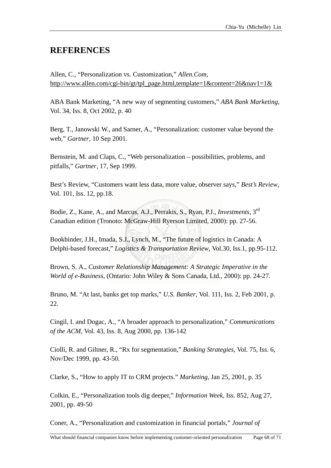## **REFERENCES**

http://www.allen.com/cgi-bin/gt/tpl\_page.html,template=1&content=26&nav1=1& Allen, C., "Personalization vs. Customization," *Allen.Com*,

Vol. 34, Iss. 8, Oct 2002, p. 40 ABA Bank Marketing, "A new way of segmenting customers," *ABA Bank Marketing*,

web," *Gartner*, 10 Sep 2001. Berg, T., Janowski W., and Sarner, A., "Personalization: customer value beyond the

Bernstein, M. and Claps, C., "Web personalization – possibilities, problems, and pitfalls," *Gartner*, 17, Sep 1999.

Best's Review, "Customers want less data, more value, observer says," *Best's Review*, Vol. 101, Iss. 12, pp .18.

Bodie, Z., Kane, A., and Marcus, A.J., Perrakis, S., Ryan, P.J., *Investments*, 3rd Canadian edition (Tronoto: McGraw-Hill Ryerson Limited, 2000): pp. 27-56.

Bookbinder, J.H., Imada, S.J., Lynch, M., "The future of logistics in Canada: A Delphi-based forecast," *Logistics & Transportation Review*, Vol.30, Iss.1, pp.95-112.

Brown, S. A., *Customer Relationship Management: A Strategic Imperative in the World of e-Business,* (Ontario: John Wiley & Sons Canada, Ltd., 2000): pp. 24-27.

Bruno, M. "At last, banks get top marks," *U.S. Banker*, Vol. 111, Iss. 2, Feb 2001, p. 22.

*of the ACM*, Vol. 43, Iss. 8, Aug 2000, pp. 136-142 Cingil, I. and Dogac, A., "A broader approach to personalization," *Communications* 

Nov/Dec 1999, pp. 43-50. Ciolli, R. and Giltner, R., "Rx for segmentation," *Banking Strategies*, Vol. 75, Iss. 6,

Clarke, S., "How to apply IT to CRM projects." *Marketing*, Jan 25, 2001, p. 35

Colkin, E., "Personalization tools dig deeper," *Information Week*, Iss. 852, Aug 27, 2001, pp. 49-50

Coner, A., "Personalization and customization in financial portals," *Journal of*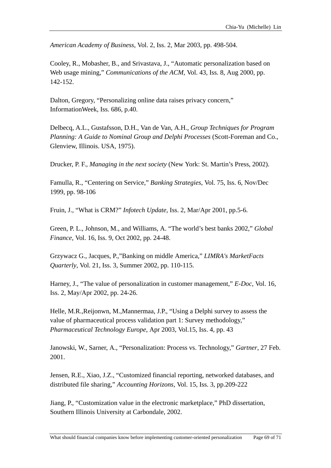American Academy of Business, Vol. 2, Iss. 2, Mar 2003, pp. 498-504.

Cooley, R., Mobasher, B., and Srivastava, J., "Automatic personalization based on Web usage mining," *Communications of the ACM*, Vol. 43, Iss. 8, Aug 2000, pp. 142-152.

Dalton, Gregory, "Personalizing online data raises privacy concern," InformationWeek, Iss. 686, p.40.

Delbecq, A.L., Gustafsson, D.H., Van de Van, A.H., Group Techniques for Program Planning: A Guide to Nominal Group and Delphi Processes (Scott-Foreman and Co., Glenview, Illinois. USA, 1975).

Drucker, P. F., Managing in the next society (New York: St. Martin's Press, 2002).

Famulla, R., "Centering on Service," Banking Strategies, Vol. 75, Iss. 6, Nov/Dec 1999, pp. 98-106

Fruin, J., "What is CRM?" Infotech Update, Iss. 2, Mar/Apr 2001, pp.5-6.

Green, P. L., Johnson, M., and Williams, A. "The world's best banks 2002," Global Finance, Vol. 16, Iss. 9, Oct 2002, pp. 24-48.

Grzywacz G., Jacques, P.,"Banking on middle America," LIMRA's MarketFacts *Quarterly*, Vol. 21, Iss. 3, Summer 2002, pp. 110-115.

Harney, J., "The value of personalization in customer management," E-Doc, Vol. 16, Iss. 2, May/Apr 2002, pp. 24-26.

Helle, M.R., Reijonwn, M., Mannermaa, J.P., "Using a Delphi survey to assess the value of pharmaceutical process validation part 1: Survey methodology," Pharmaceutical Technology Europe, Apr 2003, Vol.15, Iss. 4, pp. 43

Janowski, W., Sarner, A., "Personalization: Process vs. Technology," Gartner, 27 Feb. 2001.

Jensen, R.E., Xiao, J.Z., "Customized financial reporting, networked databases, and distributed file sharing," Accounting Horizons, Vol. 15, Iss. 3, pp.209-222

Jiang, P., "Customization value in the electronic marketplace," PhD dissertation, Southern Illinois University at Carbondale, 2002.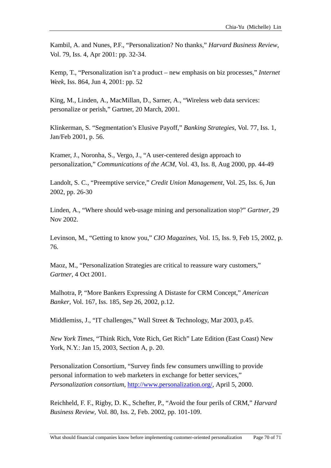Kambil, A. and Nunes, P.F., "Personalization? No thanks," *Harvard Business Review*, Vol. 79, Iss. 4, Apr 2001: pp. 32-34.

Kemp, T., "Personalization isn't a product – new emphasis on biz processes," *Internet* Week, Iss. 864, Jun 4, 2001: pp. 52

King, M., Linden, A., MacMillan, D., Sarner, A., "Wireless web data services: personalize or perish," Gartner, 20 March, 2001.

Klinkerman, S. "Segmentation's Elusive Payoff," *Banking Strategies*, Vol. 77, Iss. 1, Jan/Feb 2001, p. 56.

Kramer, J., Noronha, S., Vergo, J., "A user-centered design approach to personalization," *Communications of the ACM*, Vol. 43, Iss. 8, Aug 2000, pp. 44-49

Landolt, S. C., "Preemptive service," *Credit Union Management*, Vol. 25, Iss. 6, Jun 2002, pp. 26-30

Linden, A., "Where should web-usage mining and personalization stop?" *Gartner*, 29 Nov 2002.

Levinson, M., "Getting to know you," *CIO Magazines*, Vol. 15, Iss. 9, Feb 15, 2002, p. 76.

Maoz, M., "Personalization Strategies are critical to reassure wary customers," *artner*, 4 Oct 2001. *G*

Malhotra, P, "More Bankers Expressing A Distaste for CRM Concept," *American Banker*, Vol. 167, Iss. 185, Sep 26, 2002, p.12.

Middlemiss, J., "IT challenges," Wall Street & Technology, Mar 2003, p.45.

New York Times, "Think Rich, Vote Rich, Get Rich" Late Edition (East Coast) New York, N.Y.: Jan 15, 2003, Section A, p. 20.

Personalization Consortium, "Survey finds few consumers unwilling to provide personal information to web marketers in exchange for better services," *Personalization consortium*, http://www.personalization.org/, April 5, 2000.

Reichheld, F. F., Rigby, D. K., Schefter, P., "Avoid the four perils of CRM," *Harvard* Business Review, Vol. 80, Iss. 2, Feb. 2002, pp. 101-109.